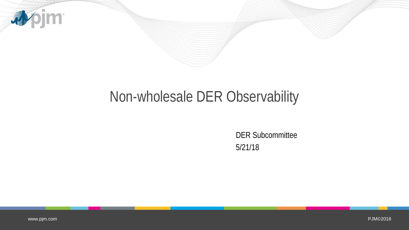

# Non-wholesale DER Observability

DER Subcommittee 5/21/18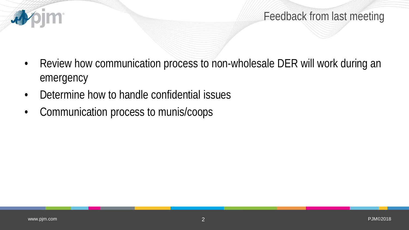

Feedback from last meeting

- Review how communication process to non-wholesale DER will work during an emergency
- Determine how to handle confidential issues
- Communication process to munis/coops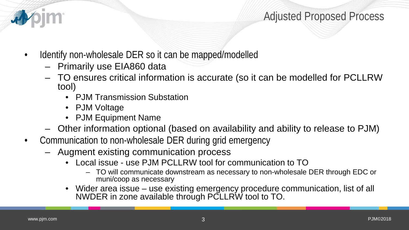

#### Adjusted Proposed Process

- Identify non-wholesale DER so it can be mapped/modelled
	- Primarily use EIA860 data
	- TO ensures critical information is accurate (so it can be modelled for PCLLRW tool)
		- PJM Transmission Substation
		- PJM Voltage
		- PJM Equipment Name
	- Other information optional (based on availability and ability to release to PJM)
- Communication to non-wholesale DER during grid emergency
	- Augment existing communication process
		- Local issue use PJM PCLLRW tool for communication to TO
			- TO will communicate downstream as necessary to non-wholesale DER through EDC or muni/coop as necessary
		- Wider area issue use existing emergency procedure communication, list of all NWDER in zone available through PCLLRW tool to TO.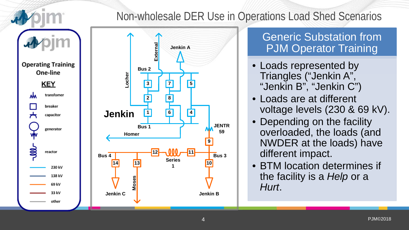

### Non-wholesale DER Use in Operations Load Shed Scenarios



#### **Generic Substation from** PJM Operator Training

- Loads represented by Triangles ("Jenkin A", "Jenkin B", "Jenkin C")
- Loads are at different voltage levels (230 & 69 kV).
- Depending on the facility overloaded, the loads (and NWDER at the loads) have different impact.
- BTM location determines if the facility is a *Help* or a *Hurt*.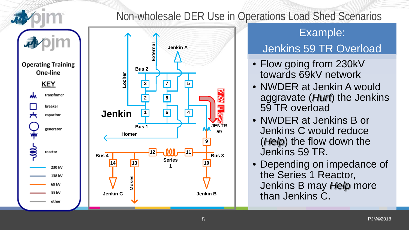

#### Non-wholesale DER Use in Operations Load Shed Scenarios



#### Example:

## Jenkins 59 TR Overload

- Flow going from 230kV towards 69kV network
- NWDER at Jenkin A would aggravate (*Hurt*) the Jenkins 59 TR overload
- NWDER at Jenkins B or Jenkins C would reduce (*Help*) the flow down the Jenkins 59 TR.
- Depending on impedance of the Series 1 Reactor, Jenkins B may *Help* more than Jenkins C.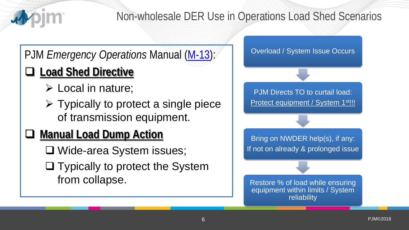

## Non-wholesale DER Use in Operations Load Shed Scenarios

## PJM *Emergency Operations* Manual [\(M-13\)](http://www.pjm.com/%7E/media/documents/manuals/m13.ashx):

# **Load Shed Directive**

- Local in nature;
- $\triangleright$  Typically to protect a single piece of transmission equipment.

## **Manual Load Dump Action**

- Wide-area System issues;
- $\Box$  Typically to protect the System from collapse.

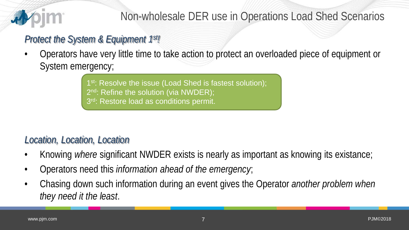

### Non-wholesale DER use in Operations Load Shed Scenarios

#### *Protect the System & Equipment 1st!*

• Operators have very little time to take action to protect an overloaded piece of equipment or System emergency;

> 1<sup>st</sup>: Resolve the issue (Load Shed is fastest solution); 2<sup>nd</sup>: Refine the solution (via NWDER); 3<sup>rd</sup>: Restore load as conditions permit.

#### *Location, Location, Location*

- Knowing *where* significant NWDER exists is nearly as important as knowing its existance;
- Operators need this *information ahead of the emergency*;
- Chasing down such information during an event gives the Operator *another problem when they need it the least*.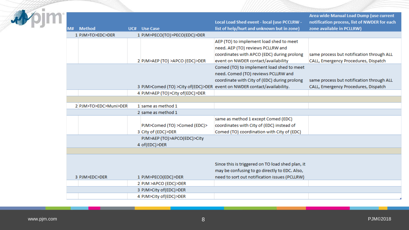|                       |                                 |                                                                         | Area wide Manual Load Dump (use current      |
|-----------------------|---------------------------------|-------------------------------------------------------------------------|----------------------------------------------|
|                       |                                 | Local Load Shed event - local (use PCCLRW -                             | notification process, list of NWDER for each |
| <b>Method</b><br>M# l | UC# Use Case                    | list of help/hurt and unknown but in zone)                              | zone available in PCLLRW)                    |
| 1 PJM>TO>EDC>DER      | 1 PJM>PECO(TO)>PECO(EDC)>DER    |                                                                         |                                              |
|                       |                                 | AEP (TO) to implement load shed to meet                                 |                                              |
|                       |                                 | need. AEP (TO) reviews PCLLRW and                                       |                                              |
|                       |                                 | coordinates with APCO (EDC) during prolong                              | same process but notification through ALL    |
|                       | 2 PJM>AEP (TO) >APCO (EDC)>DER  | event on NWDER contact/availability                                     | CALL, Emergency Procedures, Dispatch         |
|                       |                                 | Comed (TO) to implement load shed to meet                               |                                              |
|                       |                                 | need. Comed (TO) reviews PCLLRW and                                     |                                              |
|                       |                                 | coordinate with City of (EDC) during prolong                            | same process but notification through ALL    |
|                       |                                 | 3 PJM>Comed (TO) >City of(EDC)>DER event on NWDER contact/availability. | CALL, Emergency Procedures, Dispatch         |
|                       | 4 PJM>AEP (TO)>City of(EDC)>DER |                                                                         |                                              |
|                       |                                 |                                                                         |                                              |
| 2 PJM>TO>EDC>Muni>DER | 1 same as method 1              |                                                                         |                                              |
|                       | 2 same as method 1              |                                                                         |                                              |
|                       |                                 | same as method 1 except Comed (EDC)                                     |                                              |
|                       | PJM>Comed (TO) >Comed (EDC)>    | coordinates with City of (EDC) instead of                               |                                              |
|                       | 3 City of (EDC)>DER             | Comed (TO) coordination with City of (EDC)                              |                                              |
|                       | PJM>AEP (TO)>APCO(EDC)>City     |                                                                         |                                              |
|                       | 4 of(EDC)>DER                   |                                                                         |                                              |
|                       |                                 |                                                                         |                                              |
|                       |                                 |                                                                         |                                              |
|                       |                                 | Since this is triggered on TO load shed plan, it                        |                                              |
|                       |                                 | may be confusing to go directly to EDC. Also,                           |                                              |
| 3 PJM>EDC>DER         | 1 PJM>PECO(EDC)>DER             | need to sort out notification issues (PCLLRW)                           |                                              |
|                       | 2 PJM >APCO (EDC)>DER           |                                                                         |                                              |
|                       | 3 PJM>City of(EDC)>DER          |                                                                         |                                              |
|                       | 4 PJM>City of(EDC)>DER          |                                                                         |                                              |
|                       |                                 |                                                                         |                                              |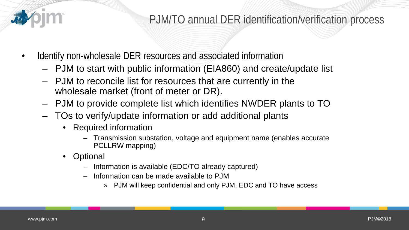

### PJM/TO annual DER identification/verification process

- Identify non-wholesale DER resources and associated information
	- PJM to start with public information (EIA860) and create/update list
	- PJM to reconcile list for resources that are currently in the wholesale market (front of meter or DR).
	- PJM to provide complete list which identifies NWDER plants to TO
	- TOs to verify/update information or add additional plants
		- Required information
			- Transmission substation, voltage and equipment name (enables accurate PCLLRW mapping)
		- **Optional** 
			- Information is available (EDC/TO already captured)
			- Information can be made available to PJM
				- » PJM will keep confidential and only PJM, EDC and TO have access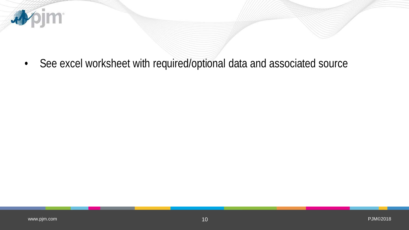

• See excel worksheet with required/optional data and associated source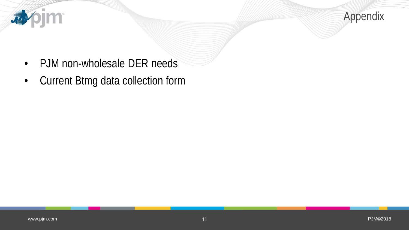

- PJM non-wholesale DER needs
- Current Btmg data collection form

**Apjm**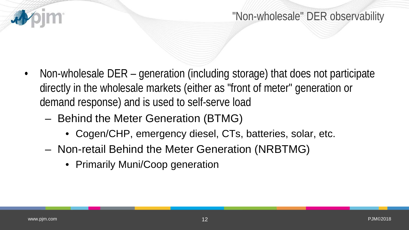

- Non-wholesale DER generation (including storage) that does not participate directly in the wholesale markets (either as "front of meter" generation or demand response) and is used to self-serve load
	- Behind the Meter Generation (BTMG)
		- Cogen/CHP, emergency diesel, CTs, batteries, solar, etc.
	- Non-retail Behind the Meter Generation (NRBTMG)
		- Primarily Muni/Coop generation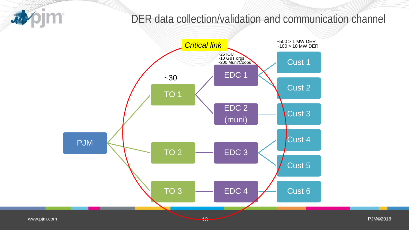#### pjm 尋

### DER data collection/validation and communication channel

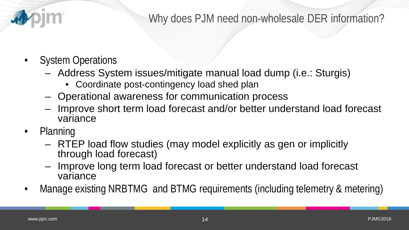

## Why does PJM need non-wholesale DER information?

- System Operations
	- Address System issues/mitigate manual load dump (i.e.: Sturgis)
		- Coordinate post-contingency load shed plan
	- Operational awareness for communication process
	- Improve short term load forecast and/or better understand load forecast variance
- Planning
	- RTEP load flow studies (may model explicitly as gen or implicitly through load forecast)
	- Improve long term load forecast or better understand load forecast variance
- Manage existing NRBTMG and BTMG requirements (including telemetry & metering)